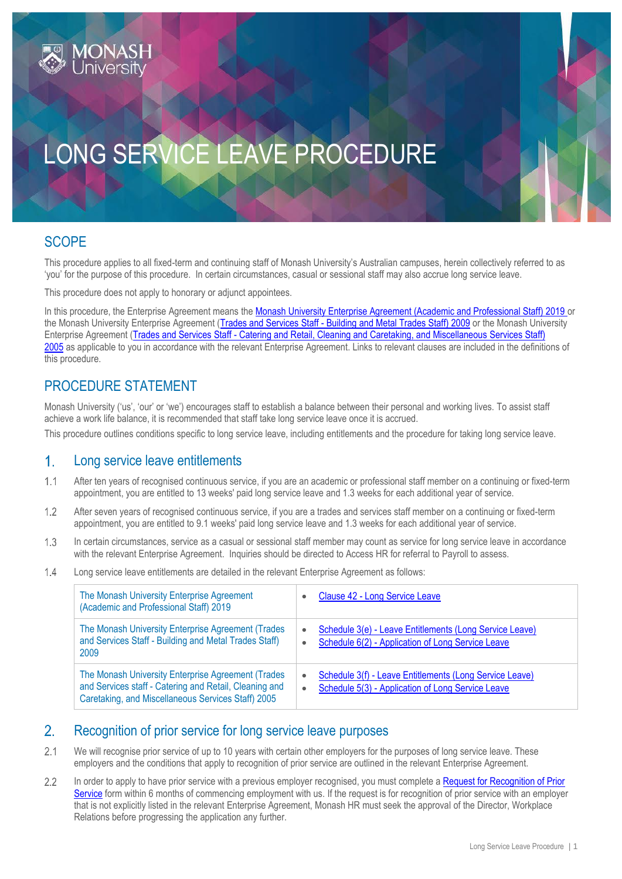# LONG SERVICE LEAVE PROCEDURE

## **SCOPE**

This procedure applies to all fixed-term and continuing staff of Monash University's Australian campuses, herein collectively referred to as 'you' for the purpose of this procedure. In certain circumstances, casual or sessional staff may also accrue long service leave.

This procedure does not apply to honorary or adjunct appointees.

In this procedure, the Enterprise Agreement means the [Monash University Enterprise Agreement \(Academic and Professional Staff\) 2019](https://www.monash.edu/current-enterprise-agreements/academic-professional-2019) or the Monash University Enterprise Agreement (Trades and Services Staff - [Building and Metal Trades Staff\) 2009](https://www.monash.edu/current-enterprise-agreements/trades-services-bmt-2009) or the Monash University Enterprise Agreement (Trades and Services Staff - Catering and Retail, Cleaning and Caretaking, and Miscellaneous Services Staff) [2005](https://www.monash.edu/current-enterprise-agreements/trades-services-crccm-2005) as applicable to you in accordance with the relevant Enterprise Agreement. Links to relevant clauses are included in the definitions of this procedure.

## PROCEDURE STATEMENT

Monash University ('us', 'our' or 'we') encourages staff to establish a balance between their personal and working lives. To assist staff achieve a work life balance, it is recommended that staff take long service leave once it is accrued.

This procedure outlines conditions specific to long service leave, including entitlements and the procedure for taking long service leave.

#### $1<sub>1</sub>$ Long service leave entitlements

- $1.1$ After ten years of recognised continuous service, if you are an academic or professional staff member on a continuing or fixed-term appointment, you are entitled to 13 weeks' paid long service leave and 1.3 weeks for each additional year of service.
- $1.2$ After seven years of recognised continuous service, if you are a trades and services staff member on a continuing or fixed-term appointment, you are entitled to 9.1 weeks' paid long service leave and 1.3 weeks for each additional year of service.
- $1.3$ In certain circumstances, service as a casual or sessional staff member may count as service for long service leave in accordance with the relevant Enterprise Agreement. Inquiries should be directed to Access HR for referral to Payroll to assess.
- $1.4$ Long service leave entitlements are detailed in the relevant Enterprise Agreement as follows:

| The Monash University Enterprise Agreement<br>(Academic and Professional Staff) 2019                                                                               | $\bullet$              | Clause 42 - Long Service Leave                                                                               |
|--------------------------------------------------------------------------------------------------------------------------------------------------------------------|------------------------|--------------------------------------------------------------------------------------------------------------|
| The Monash University Enterprise Agreement (Trades<br>and Services Staff - Building and Metal Trades Staff)<br>2009                                                | $\bullet$<br>$\bullet$ | Schedule 3(e) - Leave Entitlements (Long Service Leave)<br>Schedule 6(2) - Application of Long Service Leave |
| The Monash University Enterprise Agreement (Trades<br>and Services staff - Catering and Retail, Cleaning and<br>Caretaking, and Miscellaneous Services Staff) 2005 | ۰<br>$\bullet$         | Schedule 3(f) - Leave Entitlements (Long Service Leave)<br>Schedule 5(3) - Application of Long Service Leave |

#### $2.$ Recognition of prior service for long service leave purposes

- $21$ We will recognise prior service of up to 10 years with certain other employers for the purposes of long service leave. These employers and the conditions that apply to recognition of prior service are outlined in the relevant Enterprise Agreement.
- $2.2$ In order to apply to have prior service with a previous employer recognised, you must complete a Request for Recognition of Prior [Service](https://forms.apps.monash.edu/frevvo/web/tn/monash.edu/user/admin/app/_snIdwJ74Eea9q6CNQXsWJw/formtype/_A_rJIKbZEeavRs6fnXbv-A?_method=post&embed=true) form within 6 months of commencing employment with us. If the request is for recognition of prior service with an employer that is not explicitly listed in the relevant Enterprise Agreement, Monash HR must seek the approval of the Director, Workplace Relations before progressing the application any further.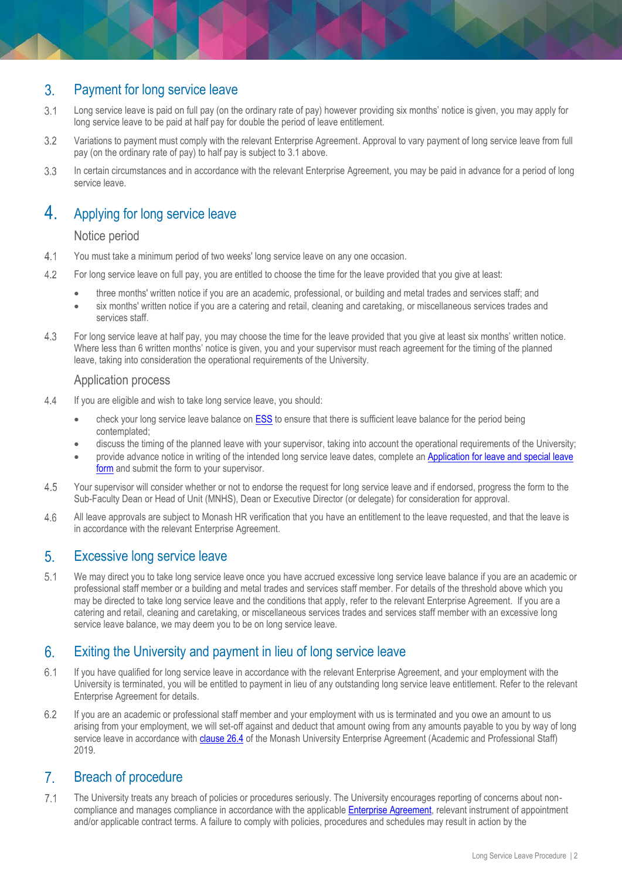## Payment for long service leave  $3.$

- $3.1$ Long service leave is paid on full pay (on the ordinary rate of pay) however providing six months' notice is given, you may apply for long service leave to be paid at half pay for double the period of leave entitlement.
- $3.2$ Variations to payment must comply with the relevant Enterprise Agreement. Approval to vary payment of long service leave from full pay (on the ordinary rate of pay) to half pay is subject to 3.1 above.
- $3.3$ In certain circumstances and in accordance with the relevant Enterprise Agreement, you may be paid in advance for a period of long service leave.

## $\overline{4}$ Applying for long service leave

## Notice period

- $4.1$ You must take a minimum period of two weeks' long service leave on any one occasion.
- For long service leave on full pay, you are entitled to choose the time for the leave provided that you give at least:  $4.2$ 
	- three months' written notice if you are an academic, professional, or building and metal trades and services staff; and
	- six months' written notice if you are a catering and retail, cleaning and caretaking, or miscellaneous services trades and services staff.
- For long service leave at half pay, you may choose the time for the leave provided that you give at least six months' written notice. 4.3 Where less than 6 written months' notice is given, you and your supervisor must reach agreement for the timing of the planned leave, taking into consideration the operational requirements of the University.

## Application process

- $4.4$ If you are eligible and wish to take long service leave, you should:
	- check your long service leave balance on [ESS](https://eservices.monash.edu.au/irj/portal) to ensure that there is sufficient leave balance for the period being contemplated;
	- discuss the timing of the planned leave with your supervisor, taking into account the operational requirements of the University;
	- provide advance notice in writing of the intended long service leave dates, complete an [Application for leave and special leave](https://www.monash.edu/eforms-resources/frevvo-forms/hr/leave-request)  [form](https://www.monash.edu/eforms-resources/frevvo-forms/hr/leave-request) and submit the form to your supervisor.
- 4.5 Your supervisor will consider whether or not to endorse the request for long service leave and if endorsed, progress the form to the Sub-Faculty Dean or Head of Unit (MNHS), Dean or Executive Director (or delegate) for consideration for approval.
- 4.6 All leave approvals are subject to Monash HR verification that you have an entitlement to the leave requested, and that the leave is in accordance with the relevant Enterprise Agreement.

#### $5<sub>1</sub>$ Excessive long service leave

 $5.1$ We may direct you to take long service leave once you have accrued excessive long service leave balance if you are an academic or professional staff member or a building and metal trades and services staff member. For details of the threshold above which you may be directed to take long service leave and the conditions that apply, refer to the relevant Enterprise Agreement. If you are a catering and retail, cleaning and caretaking, or miscellaneous services trades and services staff member with an excessive long service leave balance, we may deem you to be on long service leave.

## $6.$ Exiting the University and payment in lieu of long service leave

- $6.1$ If you have qualified for long service leave in accordance with the relevant Enterprise Agreement, and your employment with the University is terminated, you will be entitled to payment in lieu of any outstanding long service leave entitlement. Refer to the relevant Enterprise Agreement for details.
- 6.2 If you are an academic or professional staff member and your employment with us is terminated and you owe an amount to us arising from your employment, we will set-off against and deduct that amount owing from any amounts payable to you by way of long service leave in accordance with [clause 26.4](https://www.monash.edu/current-enterprise-agreements/academic-professional-2019#26) of the Monash University Enterprise Agreement (Academic and Professional Staff) 2019.

## $\overline{7}$ Breach of procedure

 $7.1$ The University treats any breach of policies or procedures seriously. The University encourages reporting of concerns about noncompliance and manages compliance in accordance with the applicabl[e Enterprise Agreement,](https://www.monash.edu/current-enterprise-agreements) relevant instrument of appointment and/or applicable contract terms. A failure to comply with policies, procedures and schedules may result in action by the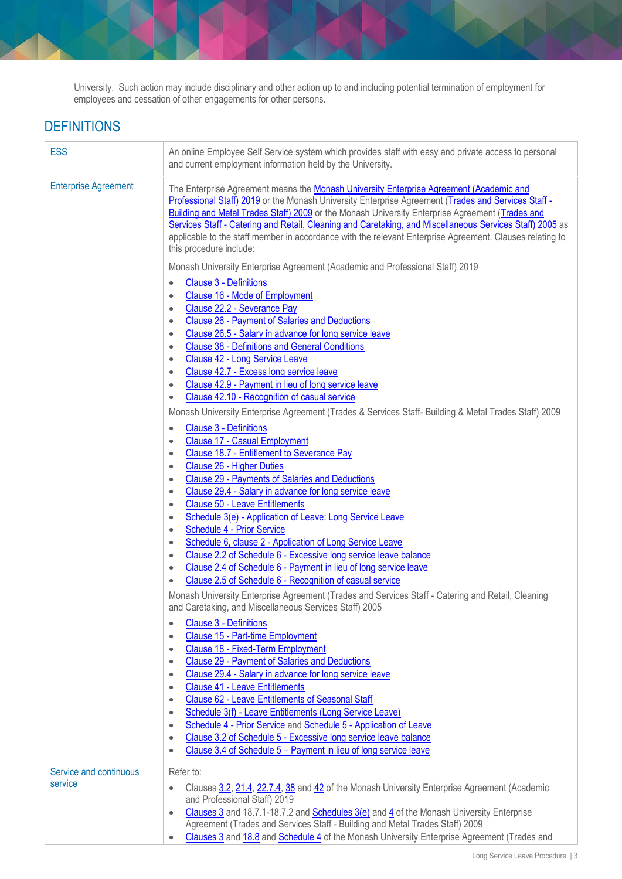University. Such action may include disciplinary and other action up to and including potential termination of employment for employees and cessation of other engagements for other persons.

# **DEFINITIONS**

| <b>ESS</b>                  | An online Employee Self Service system which provides staff with easy and private access to personal<br>and current employment information held by the University.                                                                                                                                                                                                                                                                                                                                                                                   |
|-----------------------------|------------------------------------------------------------------------------------------------------------------------------------------------------------------------------------------------------------------------------------------------------------------------------------------------------------------------------------------------------------------------------------------------------------------------------------------------------------------------------------------------------------------------------------------------------|
| <b>Enterprise Agreement</b> | The Enterprise Agreement means the Monash University Enterprise Agreement (Academic and<br>Professional Staff) 2019 or the Monash University Enterprise Agreement (Trades and Services Staff -<br>Building and Metal Trades Staff) 2009 or the Monash University Enterprise Agreement (Trades and<br>Services Staff - Catering and Retail, Cleaning and Caretaking, and Miscellaneous Services Staff) 2005 as<br>applicable to the staff member in accordance with the relevant Enterprise Agreement. Clauses relating to<br>this procedure include: |
|                             | Monash University Enterprise Agreement (Academic and Professional Staff) 2019                                                                                                                                                                                                                                                                                                                                                                                                                                                                        |
|                             | <b>Clause 3 - Definitions</b><br>$\bullet$<br>Clause 16 - Mode of Employment<br>٠<br>Clause 22.2 - Severance Pay<br>۰<br>Clause 26 - Payment of Salaries and Deductions<br>۰<br>Clause 26.5 - Salary in advance for long service leave<br>$\bullet$<br><b>Clause 38 - Definitions and General Conditions</b><br>$\bullet$<br>Clause 42 - Long Service Leave<br>$\bullet$<br>Clause 42.7 - Excess long service leave<br>$\bullet$                                                                                                                     |
|                             | Clause 42.9 - Payment in lieu of long service leave<br>$\bullet$<br>Clause 42.10 - Recognition of casual service<br>$\bullet$                                                                                                                                                                                                                                                                                                                                                                                                                        |
|                             | Monash University Enterprise Agreement (Trades & Services Staff- Building & Metal Trades Staff) 2009                                                                                                                                                                                                                                                                                                                                                                                                                                                 |
|                             | <b>Clause 3 - Definitions</b><br>$\bullet$                                                                                                                                                                                                                                                                                                                                                                                                                                                                                                           |
|                             | <b>Clause 17 - Casual Employment</b><br>$\bullet$                                                                                                                                                                                                                                                                                                                                                                                                                                                                                                    |
|                             | Clause 18.7 - Entitlement to Severance Pay<br>$\bullet$<br>Clause 26 - Higher Duties                                                                                                                                                                                                                                                                                                                                                                                                                                                                 |
|                             | $\bullet$<br><b>Clause 29 - Payments of Salaries and Deductions</b><br>$\bullet$                                                                                                                                                                                                                                                                                                                                                                                                                                                                     |
|                             | Clause 29.4 - Salary in advance for long service leave<br>$\bullet$                                                                                                                                                                                                                                                                                                                                                                                                                                                                                  |
|                             | <b>Clause 50 - Leave Entitlements</b><br>$\bullet$                                                                                                                                                                                                                                                                                                                                                                                                                                                                                                   |
|                             | Schedule 3(e) - Application of Leave: Long Service Leave<br>$\bullet$<br>Schedule 4 - Prior Service                                                                                                                                                                                                                                                                                                                                                                                                                                                  |
|                             | $\bullet$<br>Schedule 6, clause 2 - Application of Long Service Leave<br>$\bullet$                                                                                                                                                                                                                                                                                                                                                                                                                                                                   |
|                             | Clause 2.2 of Schedule 6 - Excessive long service leave balance<br>$\bullet$                                                                                                                                                                                                                                                                                                                                                                                                                                                                         |
|                             | Clause 2.4 of Schedule 6 - Payment in lieu of long service leave<br>$\bullet$                                                                                                                                                                                                                                                                                                                                                                                                                                                                        |
|                             | Clause 2.5 of Schedule 6 - Recognition of casual service<br>$\bullet$                                                                                                                                                                                                                                                                                                                                                                                                                                                                                |
|                             | Monash University Enterprise Agreement (Trades and Services Staff - Catering and Retail, Cleaning<br>and Caretaking, and Miscellaneous Services Staff) 2005                                                                                                                                                                                                                                                                                                                                                                                          |
|                             | <b>Clause 3 - Definitions</b><br>$\bullet$                                                                                                                                                                                                                                                                                                                                                                                                                                                                                                           |
|                             | <b>Clause 15 - Part-time Employment</b><br>$\bullet$<br>Clause 18 - Fixed-Term Employment<br>$\bullet$                                                                                                                                                                                                                                                                                                                                                                                                                                               |
|                             | <b>Clause 29 - Payment of Salaries and Deductions</b><br>$\bullet$                                                                                                                                                                                                                                                                                                                                                                                                                                                                                   |
|                             | Clause 29.4 - Salary in advance for long service leave<br>$\bullet$                                                                                                                                                                                                                                                                                                                                                                                                                                                                                  |
|                             | <b>Clause 41 - Leave Entitlements</b><br>$\bullet$<br><b>Clause 62 - Leave Entitlements of Seasonal Staff</b><br>$\bullet$                                                                                                                                                                                                                                                                                                                                                                                                                           |
|                             | Schedule 3(f) - Leave Entitlements (Long Service Leave)<br>$\bullet$                                                                                                                                                                                                                                                                                                                                                                                                                                                                                 |
|                             | Schedule 4 - Prior Service and Schedule 5 - Application of Leave<br>$\bullet$                                                                                                                                                                                                                                                                                                                                                                                                                                                                        |
|                             | Clause 3.2 of Schedule 5 - Excessive long service leave balance<br>$\bullet$                                                                                                                                                                                                                                                                                                                                                                                                                                                                         |
|                             | Clause 3.4 of Schedule 5 - Payment in lieu of long service leave<br>$\bullet$                                                                                                                                                                                                                                                                                                                                                                                                                                                                        |
| Service and continuous      | Refer to:                                                                                                                                                                                                                                                                                                                                                                                                                                                                                                                                            |
| service                     | Clauses 3.2, 21.4, 22.7.4, 38 and 42 of the Monash University Enterprise Agreement (Academic<br>$\bullet$                                                                                                                                                                                                                                                                                                                                                                                                                                            |
|                             | and Professional Staff) 2019<br>Clauses $3$ and 18.7.1-18.7.2 and Schedules $3(e)$ and $4$ of the Monash University Enterprise<br>$\bullet$                                                                                                                                                                                                                                                                                                                                                                                                          |
|                             | Agreement (Trades and Services Staff - Building and Metal Trades Staff) 2009                                                                                                                                                                                                                                                                                                                                                                                                                                                                         |
|                             | Clauses 3 and 18.8 and Schedule 4 of the Monash University Enterprise Agreement (Trades and<br>$\bullet$                                                                                                                                                                                                                                                                                                                                                                                                                                             |